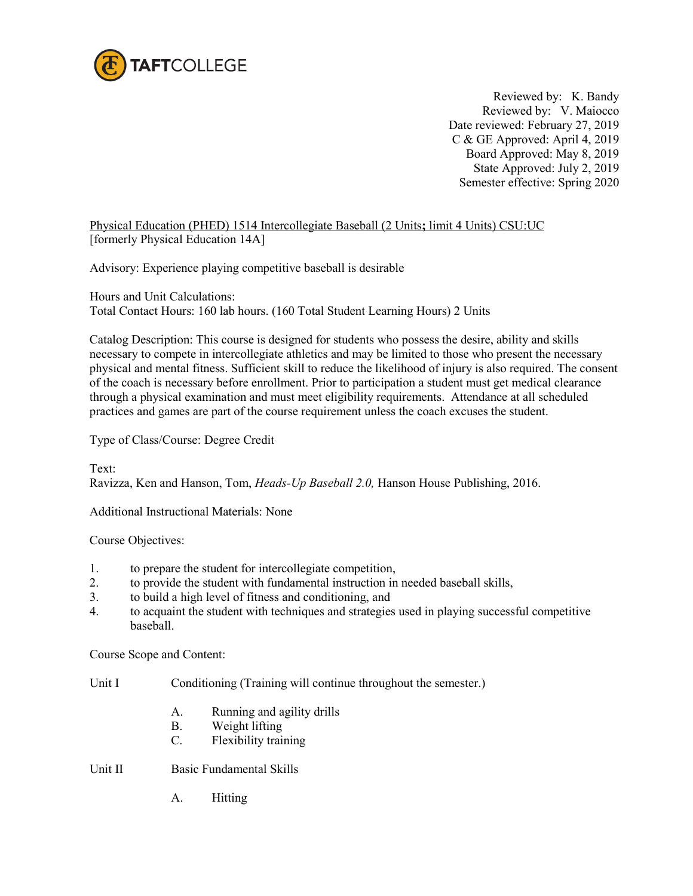

Reviewed by: K. Bandy Reviewed by: V. Maiocco Date reviewed: February 27, 2019 C & GE Approved: April 4, 2019 Board Approved: May 8, 2019 State Approved: July 2, 2019 Semester effective: Spring 2020

Physical Education (PHED) 1514 Intercollegiate Baseball (2 Units**;** limit 4 Units) CSU:UC [formerly Physical Education 14A]

Advisory: Experience playing competitive baseball is desirable

Hours and Unit Calculations: Total Contact Hours: 160 lab hours. (160 Total Student Learning Hours) 2 Units

Catalog Description: This course is designed for students who possess the desire, ability and skills necessary to compete in intercollegiate athletics and may be limited to those who present the necessary physical and mental fitness. Sufficient skill to reduce the likelihood of injury is also required. The consent of the coach is necessary before enrollment. Prior to participation a student must get medical clearance through a physical examination and must meet eligibility requirements.Attendance at all scheduled practices and games are part of the course requirement unless the coach excuses the student.

Type of Class/Course: Degree Credit

Text: Ravizza, Ken and Hanson, Tom, *Heads-Up Baseball 2.0,* Hanson House Publishing, 2016.

Additional Instructional Materials: None

Course Objectives:

- 1. to prepare the student for intercollegiate competition,
- 2. to provide the student with fundamental instruction in needed baseball skills,
- 3. to build a high level of fitness and conditioning, and
- 4. to acquaint the student with techniques and strategies used in playing successful competitive baseball.

Course Scope and Content:

Unit I Conditioning (Training will continue throughout the semester.)

- A. Running and agility drills
- B. Weight lifting
- C. Flexibility training

Unit II Basic Fundamental Skills

A. Hitting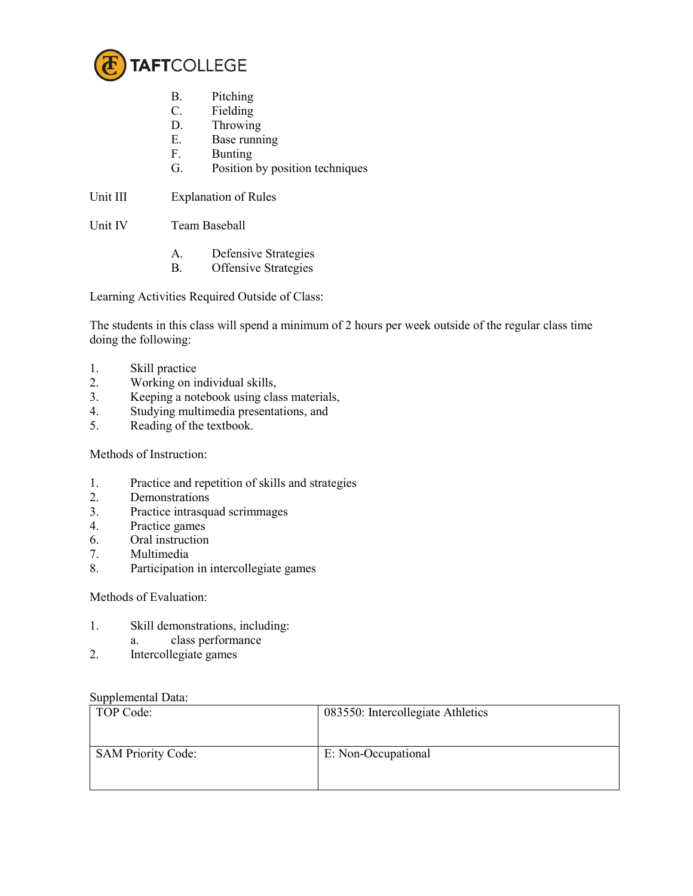

- B. Pitching
- C. Fielding
- D. Throwing
- E. Base running
- F. Bunting
- G. Position by position techniques

Unit III Explanation of Rules

Unit IV Team Baseball

- A. Defensive Strategies
- B. Offensive Strategies

Learning Activities Required Outside of Class:

The students in this class will spend a minimum of 2 hours per week outside of the regular class time doing the following:

- 1. Skill practice
- 2. Working on individual skills,
- 3. Keeping a notebook using class materials,<br>4. Studying multimedia presentations, and
- 4. Studying multimedia presentations, and
- 5. Reading of the textbook.

Methods of Instruction:

- 1. Practice and repetition of skills and strategies<br>2. Demonstrations
- **Demonstrations**
- 3. Practice intrasquad scrimmages
- 4. Practice games
- 6. Oral instruction
- 7. Multimedia
- 8. Participation in intercollegiate games

Methods of Evaluation:

- 1. Skill demonstrations, including: a. class performance
- 2. Intercollegiate games

## Supplemental Data:

| TOP Code:                 | 083550: Intercollegiate Athletics |
|---------------------------|-----------------------------------|
| <b>SAM Priority Code:</b> | E: Non-Occupational               |